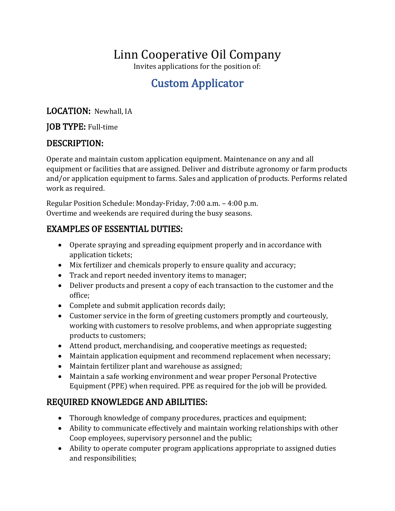# Linn Cooperative Oil Company

Invites applications for the position of:

# Custom Applicator

LOCATION: Newhall, IA

#### JOB TYPE: Full-time

### DESCRIPTION:

Operate and maintain custom application equipment. Maintenance on any and all equipment or facilities that are assigned. Deliver and distribute agronomy or farm products and/or application equipment to farms. Sales and application of products. Performs related work as required.

Regular Position Schedule: Monday-Friday, 7:00 a.m. – 4:00 p.m. Overtime and weekends are required during the busy seasons.

### EXAMPLES OF ESSENTIAL DUTIES:

- Operate spraying and spreading equipment properly and in accordance with application tickets;
- Mix fertilizer and chemicals properly to ensure quality and accuracy;
- Track and report needed inventory items to manager;
- Deliver products and present a copy of each transaction to the customer and the office;
- Complete and submit application records daily;
- Customer service in the form of greeting customers promptly and courteously, working with customers to resolve problems, and when appropriate suggesting products to customers;
- Attend product, merchandising, and cooperative meetings as requested;
- Maintain application equipment and recommend replacement when necessary;
- Maintain fertilizer plant and warehouse as assigned;
- Maintain a safe working environment and wear proper Personal Protective Equipment (PPE) when required. PPE as required for the job will be provided.

## REQUIRED KNOWLEDGE AND ABILITIES:

- Thorough knowledge of company procedures, practices and equipment;
- Ability to communicate effectively and maintain working relationships with other Coop employees, supervisory personnel and the public;
- Ability to operate computer program applications appropriate to assigned duties and responsibilities;